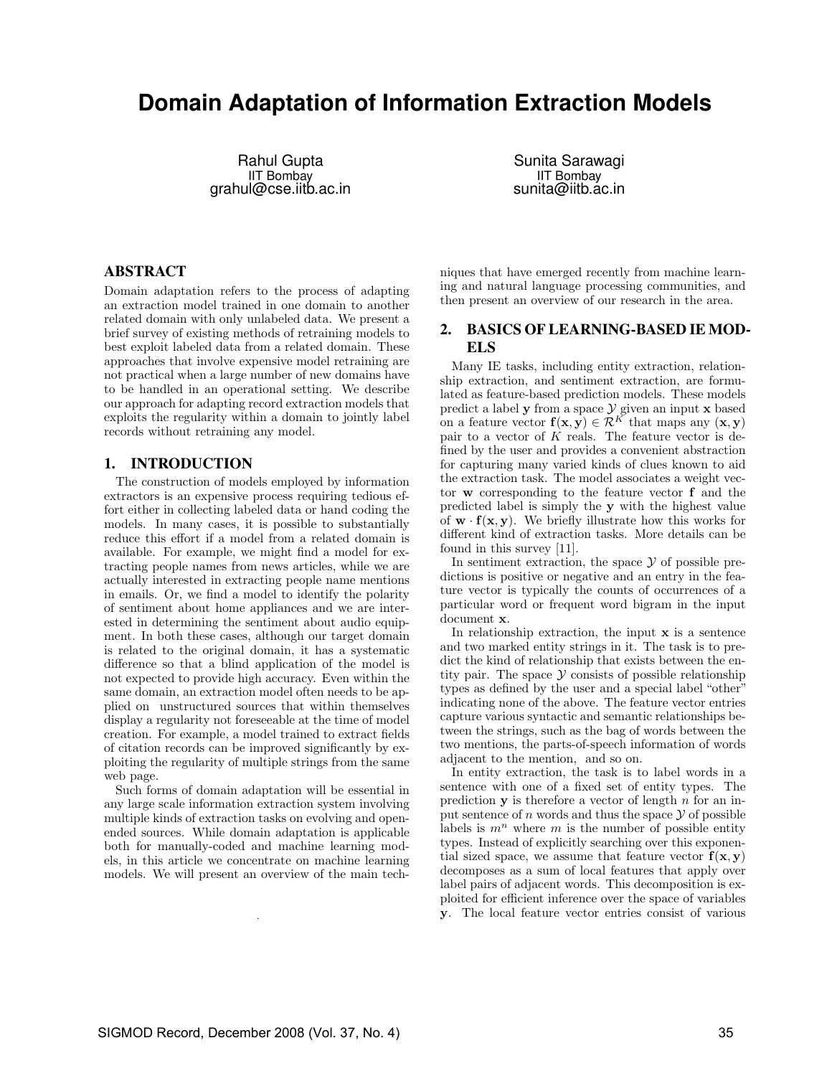# **Domain Adaptation of Information Extraction Models**

Rahul Gupta IIT Bombay grahul@cse.iitb.ac.in

Sunita Sarawagi IIT Bombay sunita@iitb.ac.in

# ABSTRACT

Domain adaptation refers to the process of adapting an extraction model trained in one domain to another related domain with only unlabeled data. We present a brief survey of existing methods of retraining models to best exploit labeled data from a related domain. These approaches that involve expensive model retraining are not practical when a large number of new domains have to be handled in an operational setting. We describe our approach for adapting record extraction models that exploits the regularity within a domain to jointly label records without retraining any model.

# 1. INTRODUCTION

The construction of models employed by information extractors is an expensive process requiring tedious effort either in collecting labeled data or hand coding the models. In many cases, it is possible to substantially reduce this effort if a model from a related domain is available. For example, we might find a model for extracting people names from news articles, while we are actually interested in extracting people name mentions in emails. Or, we find a model to identify the polarity of sentiment about home appliances and we are interested in determining the sentiment about audio equipment. In both these cases, although our target domain is related to the original domain, it has a systematic difference so that a blind application of the model is not expected to provide high accuracy. Even within the same domain, an extraction model often needs to be applied on unstructured sources that within themselves display a regularity not foreseeable at the time of model creation. For example, a model trained to extract fields of citation records can be improved significantly by exploiting the regularity of multiple strings from the same web page.

Such forms of domain adaptation will be essential in any large scale information extraction system involving multiple kinds of extraction tasks on evolving and openended sources. While domain adaptation is applicable both for manually-coded and machine learning models, in this article we concentrate on machine learning models. We will present an overview of the main tech-

.

niques that have emerged recently from machine learning and natural language processing communities, and then present an overview of our research in the area.

# 2. BASICS OF LEARNING-BASED IE MOD-ELS

Many IE tasks, including entity extraction, relationship extraction, and sentiment extraction, are formulated as feature-based prediction models. These models predict a label **y** from a space  $\mathcal{Y}$  given an input **x** based on a feature vector  $f(x, y) \in \mathcal{R}^K$  that maps any  $(x, y)$ pair to a vector of  $K$  reals. The feature vector is defined by the user and provides a convenient abstraction for capturing many varied kinds of clues known to aid the extraction task. The model associates a weight vector w corresponding to the feature vector f and the predicted label is simply the y with the highest value of  $\mathbf{w} \cdot \mathbf{f}(\mathbf{x}, \mathbf{y})$ . We briefly illustrate how this works for different kind of extraction tasks. More details can be found in this survey [11].

In sentiment extraction, the space  $\mathcal Y$  of possible predictions is positive or negative and an entry in the feature vector is typically the counts of occurrences of a particular word or frequent word bigram in the input document x.

In relationship extraction, the input x is a sentence and two marked entity strings in it. The task is to predict the kind of relationship that exists between the entity pair. The space  $\mathcal Y$  consists of possible relationship types as defined by the user and a special label "other" indicating none of the above. The feature vector entries capture various syntactic and semantic relationships between the strings, such as the bag of words between the two mentions, the parts-of-speech information of words adjacent to the mention, and so on.

In entity extraction, the task is to label words in a sentence with one of a fixed set of entity types. The prediction  $y$  is therefore a vector of length  $n$  for an input sentence of  $n$  words and thus the space  $\mathcal Y$  of possible labels is  $m^n$  where m is the number of possible entity types. Instead of explicitly searching over this exponential sized space, we assume that feature vector  $f(x, y)$ decomposes as a sum of local features that apply over label pairs of adjacent words. This decomposition is exploited for efficient inference over the space of variables y. The local feature vector entries consist of various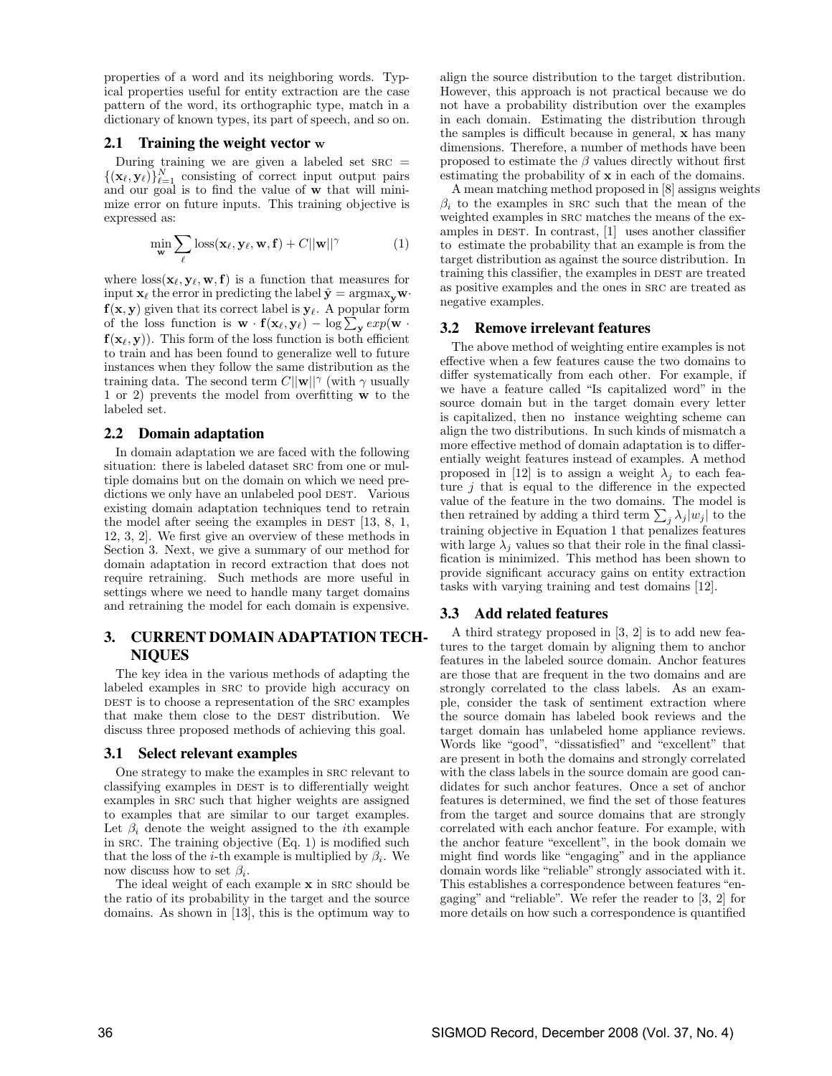properties of a word and its neighboring words. Typical properties useful for entity extraction are the case pattern of the word, its orthographic type, match in a dictionary of known types, its part of speech, and so on.

### 2.1 Training the weight vector  $w$

During training we are given a labeled set  $SRC =$  ${(\mathbf{x}_{\ell}, \mathbf{y}_{\ell})}_{\ell=1}^{N}$  consisting of correct input output pairs and our goal is to find the value of w that will minimize error on future inputs. This training objective is expressed as:

$$
\min_{\mathbf{w}} \sum_{\ell} \text{loss}(\mathbf{x}_{\ell}, \mathbf{y}_{\ell}, \mathbf{w}, \mathbf{f}) + C ||\mathbf{w}||^{\gamma} \tag{1}
$$

where  $\cos(\mathbf{x}_{\ell}, \mathbf{y}_{\ell}, \mathbf{w}, \mathbf{f})$  is a function that measures for input  $\mathbf{x}_{\ell}$  the error in predicting the label  $\hat{\mathbf{y}} = \arg\max_{\mathbf{x}} \mathbf{w} \cdot$  $\mathbf{f}(\mathbf{x}, \mathbf{y})$  given that its correct label is  $\mathbf{y}_{\ell}$  . A popular form of the loss function is  $\mathbf{w} \cdot \mathbf{f}(\mathbf{x}_{\ell}, \mathbf{y}_{\ell}) - \log \sum_{\mathbf{y}} exp(\mathbf{w} \cdot \mathbf{y}_{\ell})$  $f(x_\ell, y)$ . This form of the loss function is both efficient to train and has been found to generalize well to future instances when they follow the same distribution as the training data. The second term  $C||\mathbf{w}||^{\gamma}$  (with  $\gamma$  usually 1 or 2) prevents the model from overfitting w to the labeled set.

# 2.2 Domain adaptation

In domain adaptation we are faced with the following situation: there is labeled dataset SRC from one or multiple domains but on the domain on which we need predictions we only have an unlabeled pool DEST. Various existing domain adaptation techniques tend to retrain the model after seeing the examples in DEST  $[13, 8, 1, 1]$ 12, 3, 2]. We first give an overview of these methods in Section 3. Next, we give a summary of our method for domain adaptation in record extraction that does not require retraining. Such methods are more useful in settings where we need to handle many target domains and retraining the model for each domain is expensive.

# 3. CURRENT DOMAIN ADAPTATION TECH-NIQUES

The key idea in the various methods of adapting the labeled examples in src to provide high accuracy on DEST is to choose a representation of the SRC examples that make them close to the DEST distribution. We discuss three proposed methods of achieving this goal.

### 3.1 Select relevant examples

One strategy to make the examples in src relevant to classifying examples in DEST is to differentially weight examples in src such that higher weights are assigned to examples that are similar to our target examples. Let  $\beta_i$  denote the weight assigned to the *i*th example in src. The training objective (Eq. 1) is modified such that the loss of the *i*-th example is multiplied by  $\beta_i$ . We now discuss how to set  $\beta_i$ .

The ideal weight of each example x in SRC should be the ratio of its probability in the target and the source domains. As shown in [13], this is the optimum way to

align the source distribution to the target distribution. However, this approach is not practical because we do not have a probability distribution over the examples in each domain. Estimating the distribution through the samples is difficult because in general, x has many dimensions. Therefore, a number of methods have been proposed to estimate the  $\beta$  values directly without first estimating the probability of x in each of the domains.

A mean matching method proposed in [8] assigns weights  $\beta_i$  to the examples in SRC such that the mean of the weighted examples in src matches the means of the examples in DEST. In contrast,  $[1]$  uses another classifier to estimate the probability that an example is from the target distribution as against the source distribution. In training this classifier, the examples in DEST are treated as positive examples and the ones in src are treated as negative examples.

# 3.2 Remove irrelevant features

The above method of weighting entire examples is not effective when a few features cause the two domains to differ systematically from each other. For example, if we have a feature called "Is capitalized word" in the source domain but in the target domain every letter is capitalized, then no instance weighting scheme can align the two distributions. In such kinds of mismatch a more effective method of domain adaptation is to differentially weight features instead of examples. A method proposed in [12] is to assign a weight  $\lambda_i$  to each feature  $j$  that is equal to the difference in the expected value of the feature in the two domains. The model is then retrained by adding a third term  $\sum_j \lambda_j |w_j|$  to the training objective in Equation 1 that penalizes features with large  $\lambda_j$  values so that their role in the final classification is minimized. This method has been shown to provide significant accuracy gains on entity extraction tasks with varying training and test domains [12].

# 3.3 Add related features

A third strategy proposed in [3, 2] is to add new features to the target domain by aligning them to anchor features in the labeled source domain. Anchor features are those that are frequent in the two domains and are strongly correlated to the class labels. As an example, consider the task of sentiment extraction where the source domain has labeled book reviews and the target domain has unlabeled home appliance reviews. Words like "good", "dissatisfied" and "excellent" that are present in both the domains and strongly correlated with the class labels in the source domain are good candidates for such anchor features. Once a set of anchor features is determined, we find the set of those features from the target and source domains that are strongly correlated with each anchor feature. For example, with the anchor feature "excellent", in the book domain we might find words like "engaging" and in the appliance domain words like "reliable" strongly associated with it. This establishes a correspondence between features "engaging" and "reliable". We refer the reader to [3, 2] for more details on how such a correspondence is quantified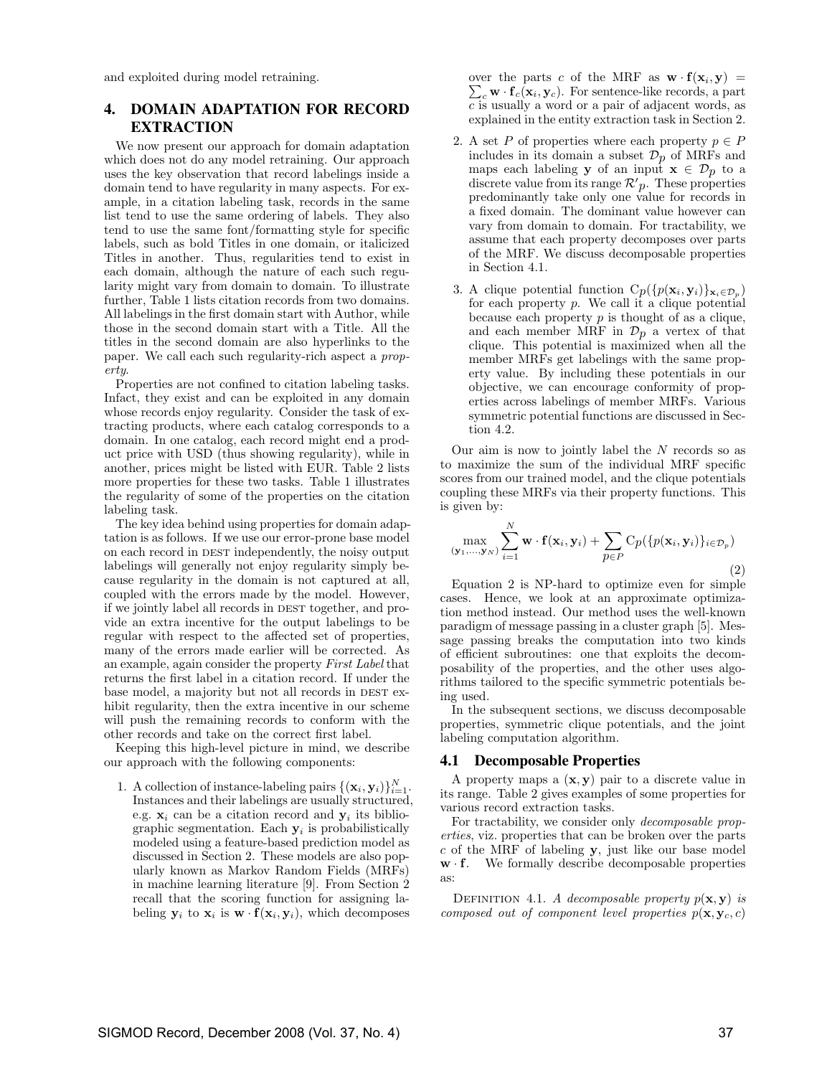and exploited during model retraining.

# 4. DOMAIN ADAPTATION FOR RECORD EXTRACTION

We now present our approach for domain adaptation which does not do any model retraining. Our approach uses the key observation that record labelings inside a domain tend to have regularity in many aspects. For example, in a citation labeling task, records in the same list tend to use the same ordering of labels. They also tend to use the same font/formatting style for specific labels, such as bold Titles in one domain, or italicized Titles in another. Thus, regularities tend to exist in each domain, although the nature of each such regularity might vary from domain to domain. To illustrate further, Table 1 lists citation records from two domains. All labelings in the first domain start with Author, while those in the second domain start with a Title. All the titles in the second domain are also hyperlinks to the paper. We call each such regularity-rich aspect a *property*.

Properties are not confined to citation labeling tasks. Infact, they exist and can be exploited in any domain whose records enjoy regularity. Consider the task of extracting products, where each catalog corresponds to a domain. In one catalog, each record might end a product price with USD (thus showing regularity), while in another, prices might be listed with EUR. Table 2 lists more properties for these two tasks. Table 1 illustrates the regularity of some of the properties on the citation labeling task.

The key idea behind using properties for domain adaptation is as follows. If we use our error-prone base model on each record in DEST independently, the noisy output labelings will generally not enjoy regularity simply because regularity in the domain is not captured at all, coupled with the errors made by the model. However, if we jointly label all records in DEST together, and provide an extra incentive for the output labelings to be regular with respect to the affected set of properties, many of the errors made earlier will be corrected. As an example, again consider the property *First Label* that returns the first label in a citation record. If under the base model, a majority but not all records in DEST exhibit regularity, then the extra incentive in our scheme will push the remaining records to conform with the other records and take on the correct first label.

Keeping this high-level picture in mind, we describe our approach with the following components:

1. A collection of instance-labeling pairs  $\{(\mathbf{x}_i, \mathbf{y}_i)\}_{i=1}^N$ . Instances and their labelings are usually structured, e.g.  $x_i$  can be a citation record and  $y_i$  its bibliographic segmentation. Each  $y_i$  is probabilistically modeled using a feature-based prediction model as discussed in Section 2. These models are also popularly known as Markov Random Fields (MRFs) in machine learning literature [9]. From Section 2 recall that the scoring function for assigning labeling  $y_i$  to  $x_i$  is  $w \cdot f(x_i, y_i)$ , which decomposes

over the parts c of the MRF as  $\mathbf{w} \cdot \mathbf{f}(\mathbf{x}_i, \mathbf{y}) =$ over the parts c of the MRF as  $\mathbf{w} \cdot \mathbf{f}(\mathbf{x}_i, \mathbf{y}) = \sum_c \mathbf{w} \cdot \mathbf{f}_c(\mathbf{x}_i, \mathbf{y}_c)$ . For sentence-like records, a part c is usually a word or a pair of adjacent words, as explained in the entity extraction task in Section 2.

- 2. A set P of properties where each property  $p \in P$ includes in its domain a subset  $\mathcal{D}_p$  of MRFs and maps each labeling y of an input  $x \in \mathcal{D}_p$  to a discrete value from its range  $\mathcal{R}'p$ . These properties predominantly take only one value for records in a fixed domain. The dominant value however can vary from domain to domain. For tractability, we assume that each property decomposes over parts of the MRF. We discuss decomposable properties in Section 4.1.
- 3. A clique potential function  $C_p(\{p(\mathbf{x}_i, \mathbf{y}_i)\}_{\mathbf{x}_i \in \mathcal{D}_p})$ for each property  $p$ . We call it a clique potential because each property  $p$  is thought of as a clique, and each member MRF in  $\mathcal{D}_p$  a vertex of that clique. This potential is maximized when all the member MRFs get labelings with the same property value. By including these potentials in our objective, we can encourage conformity of properties across labelings of member MRFs. Various symmetric potential functions are discussed in Section 4.2.

Our aim is now to jointly label the  $N$  records so as to maximize the sum of the individual MRF specific scores from our trained model, and the clique potentials coupling these MRFs via their property functions. This is given by:

$$
\max_{(\mathbf{y}_1,\ldots,\mathbf{y}_N)} \sum_{i=1}^N \mathbf{w} \cdot \mathbf{f}(\mathbf{x}_i, \mathbf{y}_i) + \sum_{p \in P} C_p(\{p(\mathbf{x}_i, \mathbf{y}_i)\}_{i \in \mathcal{D}_p})
$$
\n(2)

Equation 2 is NP-hard to optimize even for simple cases. Hence, we look at an approximate optimization method instead. Our method uses the well-known paradigm of message passing in a cluster graph [5]. Message passing breaks the computation into two kinds of efficient subroutines: one that exploits the decomposability of the properties, and the other uses algorithms tailored to the specific symmetric potentials being used.

In the subsequent sections, we discuss decomposable properties, symmetric clique potentials, and the joint labeling computation algorithm.

#### 4.1 Decomposable Properties

A property maps a  $(x, y)$  pair to a discrete value in its range. Table 2 gives examples of some properties for various record extraction tasks.

For tractability, we consider only *decomposable properties*, viz. properties that can be broken over the parts  $c$  of the MRF of labeling  $y$ , just like our base model  $\mathbf{w} \cdot \mathbf{f}$ . We formally describe decomposable properties as:

DEFINITION 4.1. *A decomposable* property  $p(\mathbf{x}, \mathbf{y})$  *is composed out of component level properties*  $p(\mathbf{x}, \mathbf{y}_c, c)$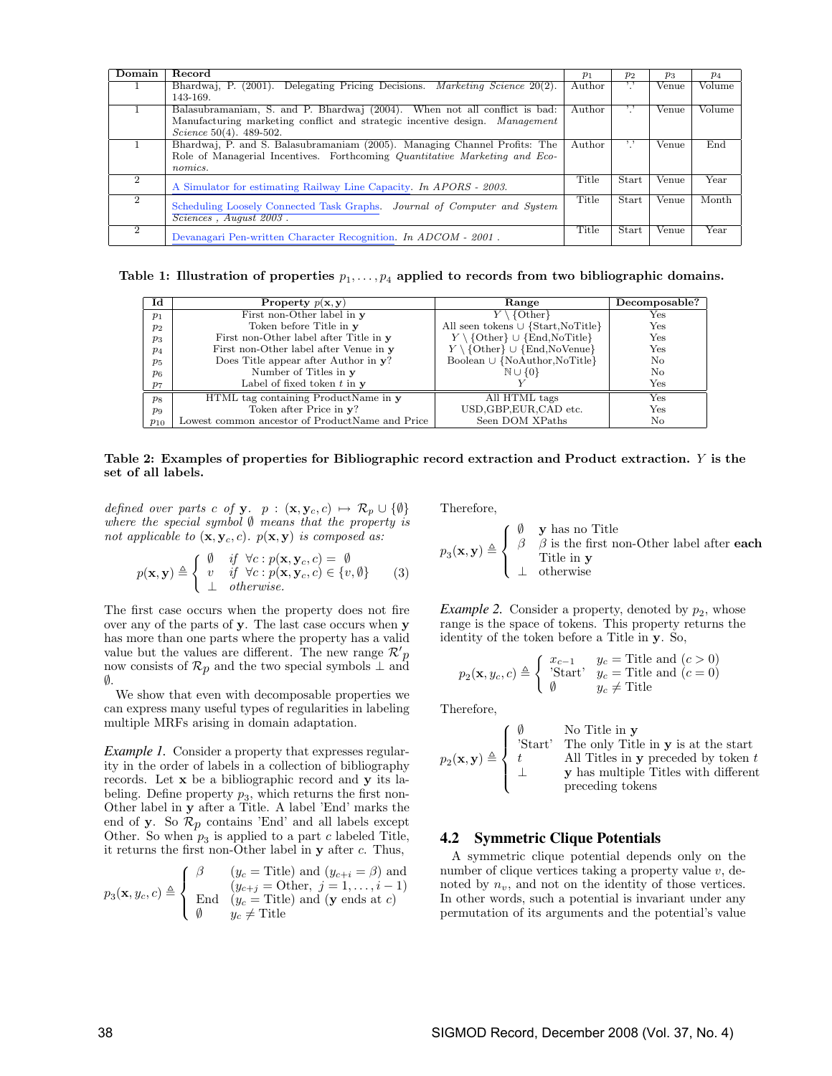| Domain                      | Record                                                                             | $p_1$  | $p_2$        | $p_3$ | $p_4$  |
|-----------------------------|------------------------------------------------------------------------------------|--------|--------------|-------|--------|
|                             | Bhardwaj, P. (2001). Delegating Pricing Decisions. <i>Marketing Science</i> 20(2). | Author | , ,          | Venue | Volume |
|                             | 143-169.                                                                           |        |              |       |        |
|                             | Balasubramaniam, S. and P. Bhardwai (2004). When not all conflict is bad:          | Author | , ,          | Venue | Volume |
|                             | Manufacturing marketing conflict and strategic incentive design. Management        |        |              |       |        |
|                             | Science $50(4)$ . 489-502.                                                         |        |              |       |        |
|                             | Bhardwaj, P. and S. Balasubramaniam (2005). Managing Channel Profits: The          | Author | $, \cdot$    | Venue | End    |
|                             | Role of Managerial Incentives. Forthcoming Quantitative Marketing and Eco-         |        |              |       |        |
|                             | nomics.                                                                            |        |              |       |        |
| $\mathfrak{D}$              | A Simulator for estimating Railway Line Capacity. In APORS - 2003.                 | Title  | Start        | Venue | Year   |
| $\mathcal{D}_{\mathcal{L}}$ |                                                                                    | Title  | <b>Start</b> | Venue | Month  |
|                             | Scheduling Loosely Connected Task Graphs. Journal of Computer and System           |        |              |       |        |
|                             | Sciences, August 2003.                                                             |        |              |       |        |
| $\mathcal{D}_{\mathcal{L}}$ | Devanagari Pen-written Character Recognition. In $ADCOM - 2001$ .                  | Title  | Start        | Venue | Year   |
|                             |                                                                                    |        |              |       |        |

Table 1: Illustration of properties  $p_1, \ldots, p_4$  applied to records from two bibliographic domains.

| Id             | Property $p(x, y)$                              | Range                                                               | Decomposable? |
|----------------|-------------------------------------------------|---------------------------------------------------------------------|---------------|
| $p_1$          | First non-Other label in y                      | \{Other}                                                            | Yes           |
| $p_2$          | Token before Title in y                         | All seen tokens $\cup$ {Start, NoTitle}                             | Yes           |
| $p_3$          | First non-Other label after Title in y          | $Y \setminus \{\text{Other}\} \cup \{\text{End}, \text{NoTitle}\}\$ | Yes           |
| $p_4$          | First non-Other label after Venue in y          | $Y \setminus \{\text{Other}\} \cup \{\text{End},\text{NoVenue}\}\$  | Yes           |
| $p_5$          | Does Title appear after Author in y?            | Boolean $\cup$ {NoAuthor,NoTitle}                                   | No            |
| $p_6$          | Number of Titles in y                           | $\mathbb{N} \cup \{0\}$                                             | No            |
| p <sub>7</sub> | Label of fixed token $t$ in $y$                 |                                                                     | Yes           |
| $p_{8}$        | HTML tag containing ProductName in y            | All HTML tags                                                       | Yes           |
| $p_9$          | Token after Price in y?                         | USD, GBP, EUR, CAD etc.                                             | Yes           |
| $p_{10}$       | Lowest common ancestor of ProductName and Price | Seen DOM XPaths                                                     | No            |

#### Table 2: Examples of properties for Bibliographic record extraction and Product extraction. Y is the set of all labels.

*defined over parts* c *of* y<sub>*.*</sub> p :  $(\mathbf{x}, \mathbf{y}_c, c) \mapsto \mathcal{R}_p \cup \{\emptyset\}$ *where the special symbol* ∅ *means that the property is* not applicable to  $(\mathbf{x}, \mathbf{y}_c, c)$ *.*  $p(\mathbf{x}, \mathbf{y})$  *is composed as:* 

$$
p(\mathbf{x}, \mathbf{y}) \triangleq \begin{cases} \n\begin{array}{ll}\n\emptyset & \text{if } \forall c : p(\mathbf{x}, \mathbf{y}_c, c) = \emptyset \\
v & \text{if } \forall c : p(\mathbf{x}, \mathbf{y}_c, c) \in \{v, \emptyset\} \\
\perp & \text{otherwise.}\n\end{array}\n\end{cases} \tag{3}
$$

The first case occurs when the property does not fire over any of the parts of y. The last case occurs when y has more than one parts where the property has a valid value but the values are different. The new range  $\mathcal{R}'$ now consists of  $\mathcal{R}_p$  and the two special symbols  $\perp$  and ∅.

We show that even with decomposable properties we can express many useful types of regularities in labeling multiple MRFs arising in domain adaptation.

*Example 1.* Consider a property that expresses regularity in the order of labels in a collection of bibliography records. Let x be a bibliographic record and y its labeling. Define property  $p_3$ , which returns the first non-Other label in y after a Title. A label 'End' marks the end of y. So  $\mathcal{R}_p$  contains 'End' and all labels except Other. So when  $p_3$  is applied to a part c labeled Title, it returns the first non-Other label in  $y$  after  $c$ . Thus,

$$
p_3(\mathbf{x}, y_c, c) \triangleq \begin{cases} \beta & (y_c = \text{Title}) \text{ and } (y_{c+i} = \beta) \text{ and } \\ & (y_{c+j} = \text{Other}, j = 1, \dots, i-1) \\ \text{End} & (y_c = \text{Title}) \text{ and } (\mathbf{y} \text{ ends at } c) \\ \emptyset & y_c \neq \text{Title} \end{cases}
$$

Therefore,

$$
p_3(\mathbf{x}, \mathbf{y}) \triangleq \left\{ \begin{array}{ll} \emptyset & \mathbf{y} \text{ has no Title} \\ \beta & \beta \text{ is the first non-Other label after each} \\ & \text{Title in } \mathbf{y} \\ \bot & \text{otherwise} \end{array} \right.
$$

*Example* 2. Consider a property, denoted by  $p_2$ , whose range is the space of tokens. This property returns the identity of the token before a Title in y. So,

$$
p_2(\mathbf{x}, y_c, c) \triangleq \begin{cases} x_{c-1} & y_c = \text{Title and } (c > 0) \\ \text{'Start'} & y_c = \text{Title and } (c = 0) \\ \emptyset & y_c \neq \text{Title} \end{cases}
$$

Therefore,

$$
p_2(\mathbf{x}, \mathbf{y}) \triangleq \left\{ \begin{array}{ll} \emptyset & \text{No Title in } \mathbf{y} \\ \text{'Start'} & \text{The only Title in } \mathbf{y} \text{ is at the start} \\ t & \text{All Titles in } \mathbf{y} \text{ preceded by token } t \\ \perp & \mathbf{y} \text{ has multiple Titles with different} \\ \text{preceding tokens} \end{array} \right.
$$

### 4.2 Symmetric Clique Potentials

A symmetric clique potential depends only on the number of clique vertices taking a property value  $v$ , denoted by  $n_v$ , and not on the identity of those vertices. In other words, such a potential is invariant under any permutation of its arguments and the potential's value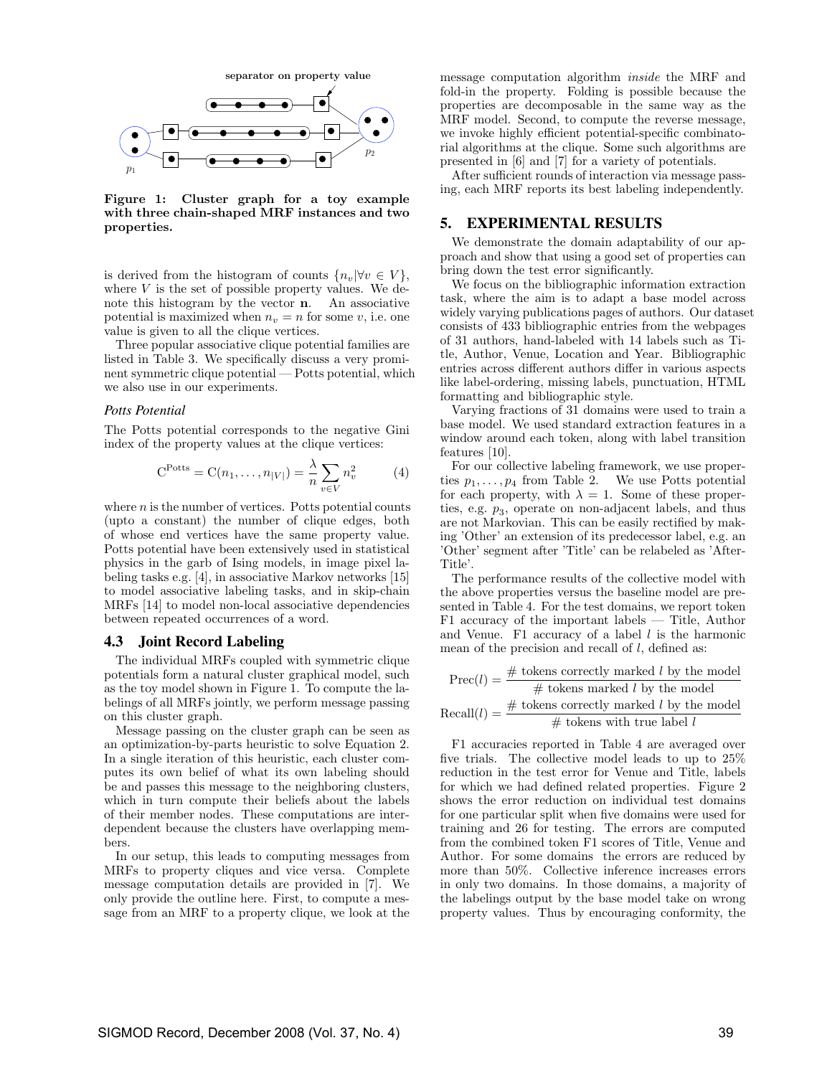

Figure 1: Cluster graph for a toy example with three chain-shaped MRF instances and two properties.

is derived from the histogram of counts  $\{n_v|\forall v \in V\},\$ where  $V$  is the set of possible property values. We denote this histogram by the vector n. An associative potential is maximized when  $n_v = n$  for some v, i.e. one value is given to all the clique vertices.

Three popular associative clique potential families are listed in Table 3. We specifically discuss a very prominent symmetric clique potential — Potts potential, which we also use in our experiments.

#### *Potts Potential*

The Potts potential corresponds to the negative Gini index of the property values at the clique vertices:

$$
CPotts = C(n1,...,n|V|) = \frac{\lambda}{n} \sum_{v \in V} n_v^2
$$
 (4)

where  $n$  is the number of vertices. Potts potential counts (upto a constant) the number of clique edges, both of whose end vertices have the same property value. Potts potential have been extensively used in statistical physics in the garb of Ising models, in image pixel labeling tasks e.g. [4], in associative Markov networks [15] to model associative labeling tasks, and in skip-chain MRFs [14] to model non-local associative dependencies between repeated occurrences of a word.

#### 4.3 Joint Record Labeling

The individual MRFs coupled with symmetric clique potentials form a natural cluster graphical model, such as the toy model shown in Figure 1. To compute the labelings of all MRFs jointly, we perform message passing on this cluster graph.

Message passing on the cluster graph can be seen as an optimization-by-parts heuristic to solve Equation 2. In a single iteration of this heuristic, each cluster computes its own belief of what its own labeling should be and passes this message to the neighboring clusters, which in turn compute their beliefs about the labels of their member nodes. These computations are interdependent because the clusters have overlapping members.

In our setup, this leads to computing messages from MRFs to property cliques and vice versa. Complete message computation details are provided in [7]. We only provide the outline here. First, to compute a message from an MRF to a property clique, we look at the message computation algorithm *inside* the MRF and fold-in the property. Folding is possible because the properties are decomposable in the same way as the MRF model. Second, to compute the reverse message, we invoke highly efficient potential-specific combinatorial algorithms at the clique. Some such algorithms are presented in [6] and [7] for a variety of potentials.

After sufficient rounds of interaction via message passing, each MRF reports its best labeling independently.

### 5. EXPERIMENTAL RESULTS

We demonstrate the domain adaptability of our approach and show that using a good set of properties can bring down the test error significantly.

We focus on the bibliographic information extraction task, where the aim is to adapt a base model across widely varying publications pages of authors. Our dataset consists of 433 bibliographic entries from the webpages of 31 authors, hand-labeled with 14 labels such as Title, Author, Venue, Location and Year. Bibliographic entries across different authors differ in various aspects like label-ordering, missing labels, punctuation, HTML formatting and bibliographic style.

Varying fractions of 31 domains were used to train a base model. We used standard extraction features in a window around each token, along with label transition features [10].

For our collective labeling framework, we use properties  $p_1, \ldots, p_4$  from Table 2. We use Potts potential for each property, with  $\lambda = 1$ . Some of these properties, e.g.  $p_3$ , operate on non-adjacent labels, and thus are not Markovian. This can be easily rectified by making 'Other' an extension of its predecessor label, e.g. an 'Other' segment after 'Title' can be relabeled as 'After-Title'.

The performance results of the collective model with the above properties versus the baseline model are presented in Table 4. For the test domains, we report token F1 accuracy of the important labels — Title, Author and Venue. F1 accuracy of a label  $l$  is the harmonic mean of the precision and recall of  $l$ , defined as:

$$
Prec(l) = \frac{\# \text{ tokens correctly marked } l \text{ by the model}}{\# \text{ tokens marked } l \text{ by the model}}
$$

$$
Recall(l) = \frac{\# \text{ tokens correctly marked } l \text{ by the model}}{\# \text{ tokens with true label } l}
$$

F1 accuracies reported in Table 4 are averaged over five trials. The collective model leads to up to 25% reduction in the test error for Venue and Title, labels for which we had defined related properties. Figure 2 shows the error reduction on individual test domains for one particular split when five domains were used for training and 26 for testing. The errors are computed from the combined token F1 scores of Title, Venue and Author. For some domains the errors are reduced by more than 50%. Collective inference increases errors in only two domains. In those domains, a majority of the labelings output by the base model take on wrong property values. Thus by encouraging conformity, the